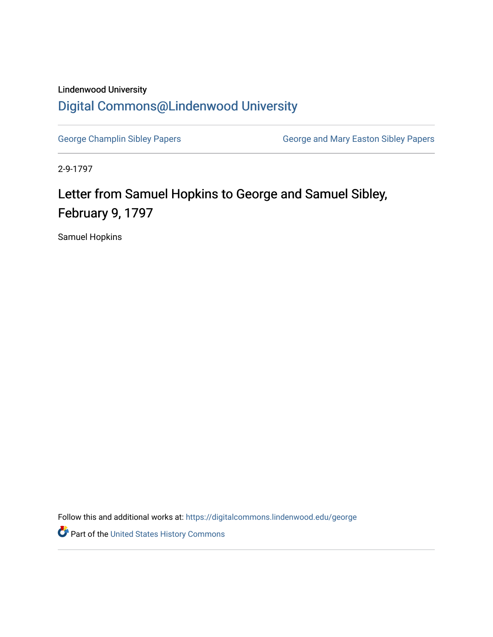## Lindenwood University [Digital Commons@Lindenwood University](https://digitalcommons.lindenwood.edu/)

[George Champlin Sibley Papers](https://digitalcommons.lindenwood.edu/george) **George and Mary Easton Sibley Papers** George and Mary Easton Sibley Papers

2-9-1797

## Letter from Samuel Hopkins to George and Samuel Sibley, February 9, 1797

Samuel Hopkins

Follow this and additional works at: [https://digitalcommons.lindenwood.edu/george](https://digitalcommons.lindenwood.edu/george?utm_source=digitalcommons.lindenwood.edu%2Fgeorge%2F47&utm_medium=PDF&utm_campaign=PDFCoverPages)

Part of the [United States History Commons](http://network.bepress.com/hgg/discipline/495?utm_source=digitalcommons.lindenwood.edu%2Fgeorge%2F47&utm_medium=PDF&utm_campaign=PDFCoverPages)